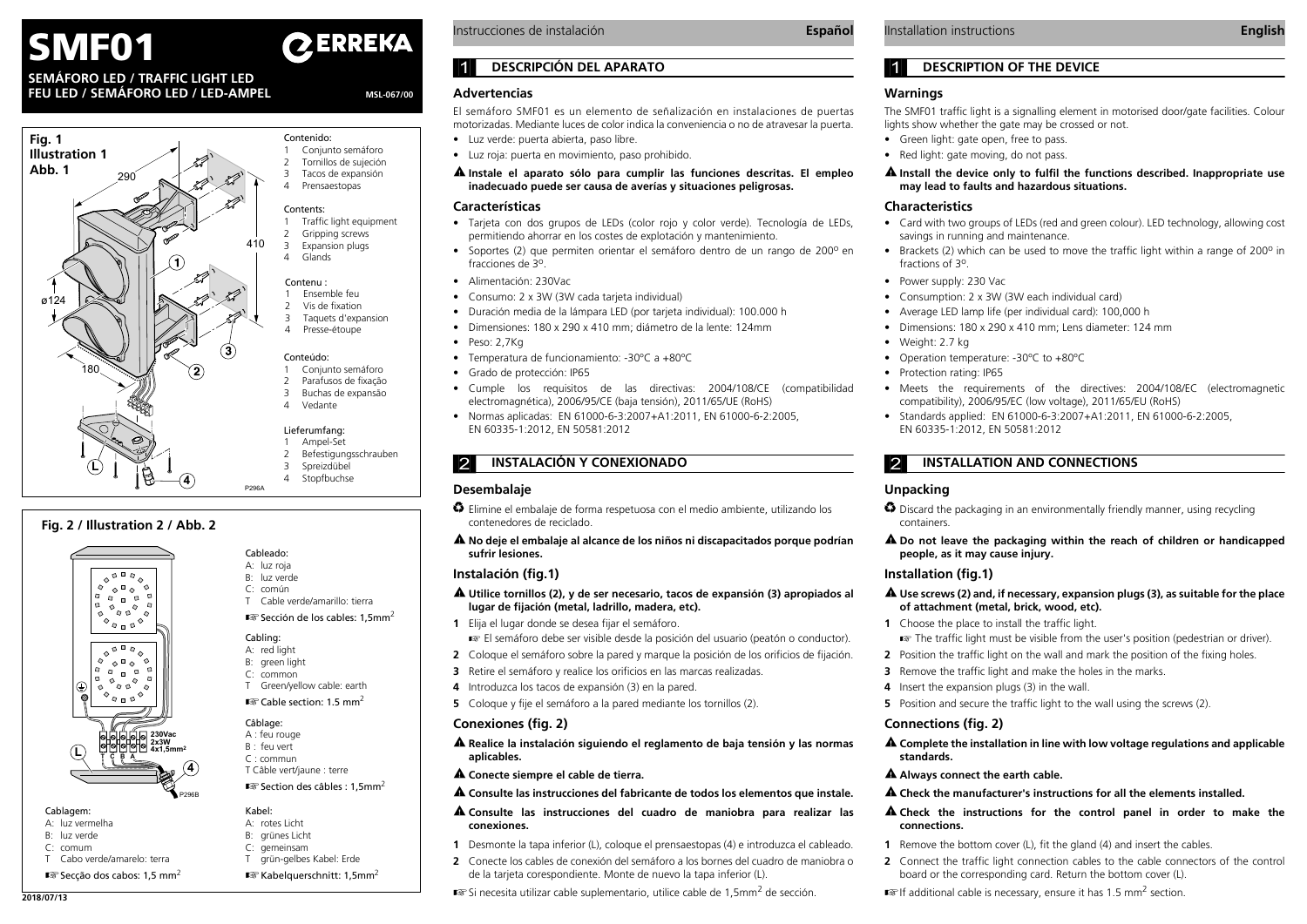# **EXPLICE INSTREMA** Instrucciones de instalación **Español IInstallation instructions Expañol Español** IInstallation instructions **English**

# **SEMÁFORO LED / TRAFFIC LIGHT LEDFEU LED / SEMÁFORO LED / LED-AMPEL**

MSL-067/00



# **Fig. 2 / Illustration 2 / Abb. 2**



#### Cableado: A: luz roja B: luz verde

- C: común
- T Cable verde/amarillo: tierra $\mathbb{R}$  Sección de los cables: 1,5mm<sup>2</sup>

# Cabling:

- A: red light
- B: green light
- C: common T Green/yellow cable: earth
- $\mathbb{R}$  Cable section: 1.5 mm<sup>2</sup>



Kabel:A: rotes Licht B: grünes Licht C: gemeinsam T grün-gelbes Kabel: Erde  $\mathbb{R}$  Kabelquerschnitt: 1,5mm<sup>2</sup>

- A : feu rouge
- B : feu vert C : commun
- 
- T Câble vert/jaune : terre
- $\mathbb{R}$  Section des câbles : 1.5mm<sup>2</sup>

# Cablagem:

- A: luz vermelha
- B: luz verde
- C: comumT Cabo verde/amarelo: terra
- 
- $\mathbb{R}$  Secção dos cabos: 1,5 mm<sup>2</sup>

Instrucciones de instalación

# 1 **DESCRIPCIÓN DEL APARATO**

### **Advertencias**

El semáforo SMF01 es un elemento de señalización en instalaciones de puertas motorizadas. Mediante luces de color indica la conveniencia o no de atravesar la puerta.

- **•** Luz verde: puerta abierta, paso libre.
- **•** Luz roja: puerta en movimiento, paso prohibido.
- **Instale el aparato sólo para cumplir las funciones descritas. El empleo inadecuado puede ser causa de averías y situaciones peligrosas.**

#### **Características**

- **•** Tarjeta con dos grupos de LEDs (color rojo y color verde). Tecnología de LEDs, permitiendo ahorrar en los costes de explotación y mantenimiento.
- Soportes (2) que permiten orientar el semáforo dentro de un rango de 200<sup>o</sup> en fracciones de 3<sup>0</sup>
- **•** Alimentación: 230Vac
- **•**Consumo: 2 x 3W (3W cada tarjeta individual)
- **•**Duración media de la lámpara LED (por tarjeta individual): 100.000 h
- **•** Dimensiones: 180 x 290 x 410 mm; diámetro de la lente: 124mm
- **•** Peso: 2,7Kg
- **•**Temperatura de funcionamiento: -30ºC a +80ºC
- **•** Grado de protección: IP65
- **•** Cumple los requisitos de las directivas: 2004/108/CE (compatibilidad electromagnética), 2006/95/CE (baja tensión), 2011/65/UE (RoHS)
- **•** Normas aplicadas: EN 61000-6-3:2007+A1:2011, EN 61000-6-2:2005, EN 60335-1:2012, EN 50581:2012

# 2 **INSTALACIÓN Y CONEXIONADO**

#### **Desembalaje**

- *}* Elimine el embalaje de forma respetuosa con el medio ambiente, utilizando los contenedores de reciclado.
- **No deje el embalaje al alcance de los niños ni discapacitados porque podrían sufrir lesiones.**

#### **Instalación (fig.1)**

- **Utilice tornillos (2), y de ser necesario, tacos de expansión (3) apropiados al lugar de fijación (metal, ladrillo, madera, etc).**
- **1** Elija el lugar donde se desea fijar el semáforo.
- El semáforo debe ser visible desde la posición del usuario (peatón o conductor).
- **2** Coloque el semáforo sobre la pared y marque la posición de los orificios de fijación.
- **3** Retire el semáforo y realice los orificios en las marcas realizadas.
- **4** Introduzca los tacos de expansión (3) en la pared.
- **5** Coloque y fije el semáforo a la pared mediante los tornillos (2).

# **Conexiones (fig. 2)**

- **Realice la instalación siguiendo el reglamento de baja tensión y las normas aplicables.**
- **Conecte siempre el cable de tierra.**
- **Consulte las instrucciones del fabricante de todos los elementos que instale.**
- **Consulte las instrucciones del cuadro de maniobra para realizar las conexiones.**
- **1** Desmonte la tapa inferior (L), coloque el prensaestopas (4) e introduzca el cableado.
- **2** Conecte los cables de conexión del semáforo a los bornes del cuadro de maniobra o de la tarjeta corespondiente. Monte de nuevo la tapa inferior (L).
- **IF A REFERITE AN ART CASES AND READING A REFERITE SUPLEMENTARY** de sección. **2018/07/13 IF** additional cable is necessary, ensure it has 1.5 mm<sup>2</sup> section.

# 1 **DESCRIPTION OF THE DEVICE**

#### **Warnings**

The SMF01 traffic light is a signalling element in motorised door/gate facilities. Colour lights show whether the gate may be crossed or not.

- **•** Green light: gate open, free to pass.
- **•** Red light: gate moving, do not pass.

#### **Install the device only to fulfil the functions described. Inappropriate use may lead to faults and hazardous situations.**

#### **Characteristics**

- **•** Card with two groups of LEDs (red and green colour). LED technology, allowing cost savings in running and maintenance.
- Brackets (2) which can be used to move the traffic light within a range of 200<sup>o</sup> in fractions of 3<sup>o</sup>.
- **•** Power supply: 230 Vac
- **•** Consumption: 2 x 3W (3W each individual card)
- **•** Average LED lamp life (per individual card): 100,000 h
- **•** Dimensions: 180 x 290 x 410 mm; Lens diameter: 124 mm
- **•** Weight: 2.7 kg
- **•** Operation temperature: -30ºC to +80ºC
- **•** Protection rating: IP65
- **•** Meets the requirements of the directives: 2004/108/EC (electromagnetic compatibility), 2006/95/EC (low voltage), 2011/65/EU (RoHS)
- **•** Standards applied: EN 61000-6-3:2007+A1:2011, EN 61000-6-2:2005, EN 60335-1:2012, EN 50581:2012

# **2 INSTALLATION AND CONNECTIONS**

#### **Unpacking**

- *}* Discard the packaging in an environmentally friendly manner, using recycling containers.
- **Do not leave the packaging within the reach of children or handicapped people, as it may cause injury.**

#### **Installation (fig.1)**

- **Use screws (2) and, if necessary, expansion plugs (3), as suitable for the place of attachment (metal, brick, wood, etc).**
- **1** Choose the place to install the traffic light.
	- **The traffic light must be visible from the user's position (pedestrian or driver).**
- **2** Position the traffic light on the wall and mark the position of the fixing holes.
- **3** Remove the traffic light and make the holes in the marks.
- **4** Insert the expansion plugs (3) in the wall.
- **5** Position and secure the traffic light to the wall using the screws (2).

# **Connections (fig. 2)**

**connections.**

 **Complete the installation in line with low voltage regulations and applicable standards.**

**Check the instructions for the control panel in order to make the**

**2** Connect the traffic light connection cables to the cable connectors of the control

**Always connect the earth cable.**

#### **Check the manufacturer's instructions for all the elements installed.**

**1** Remove the bottom cover (L), fit the gland (4) and insert the cables.

board or the corresponding card. Return the bottom cover (L).